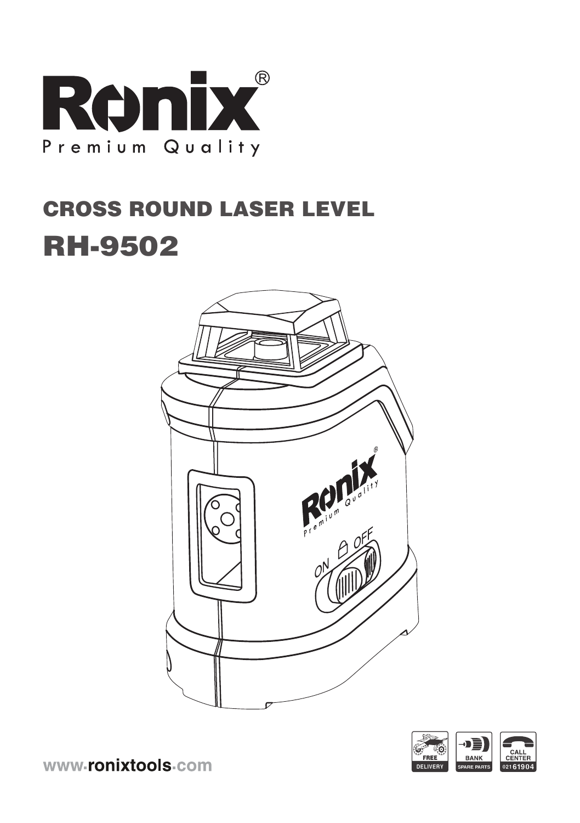

# CROSS ROUND LASER LEVEL RH-9502





www-ronixtools-com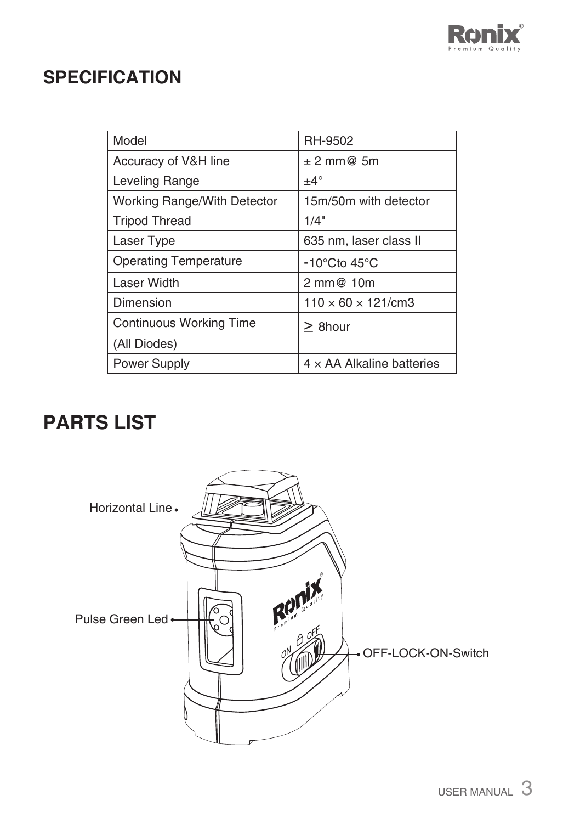

## **SPECIFICATION**

| Model                        | <b>RH-9502</b>                    |
|------------------------------|-----------------------------------|
| Accuracy of V&H line         | $± 2$ mm@ 5m                      |
| Leveling Range               | $±4^{\circ}$                      |
| Working Range/With Detector  | 15m/50m with detector             |
| <b>Tripod Thread</b>         | 1/4"                              |
| Laser Type                   | 635 nm, laser class II            |
| <b>Operating Temperature</b> | $-10^{\circ}$ Cto 45 $^{\circ}$ C |
| Laser Width                  | 2 mm@ 10m                         |
| Dimension                    | $110 \times 60 \times 121$ /cm3   |
| Continuous Working Time      | $>8$ hour                         |
| (All Diodes)                 |                                   |
| <b>Power Supply</b>          | $4 \times$ AA Alkaline batteries  |

# **PARTS LIST**

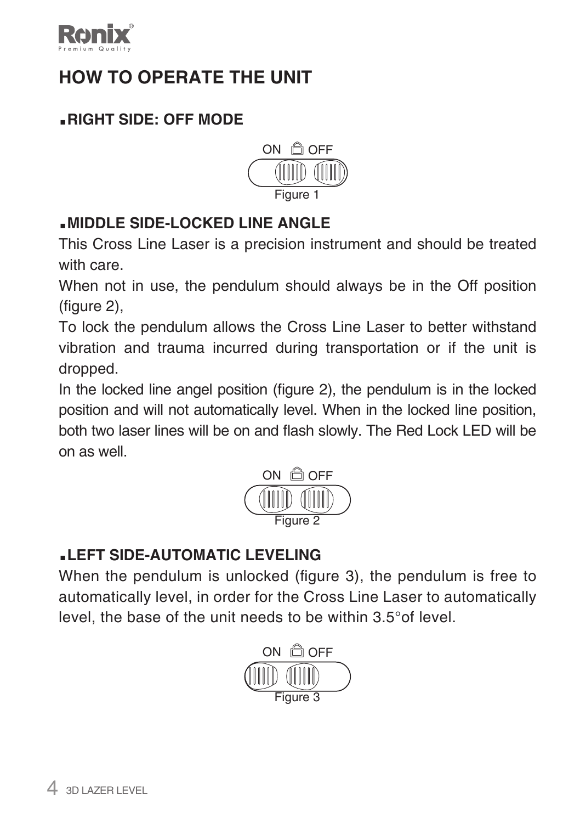

# **HOW TO OPERATE THE UNIT**

#### **.RIGHT SIDE: OFF MODE**



#### **.MIDDLE SIDE-LOCKED LINE ANGLE**

This Cross Line Laser is a precision instrument and should be treated with care.

When not in use, the pendulum should always be in the Off position (figure 2),

To lock the pendulum allows the Cross Line Laser to better withstand vibration and trauma incurred during transportation or if the unit is dropped.

In the locked line angel position (figure 2), the pendulum is in the locked position and will not automatically level. When in the locked line position, both two laser lines will be on and flash slowly. The Red Lock LED will be on as well.



#### **.LEFT SIDE-AUTOMATIC LEVELING**

When the pendulum is unlocked (figure 3), the pendulum is free to automatically level, in order for the Cross Line Laser to automatically level, the base of the unit needs to be within 3.5°of level.

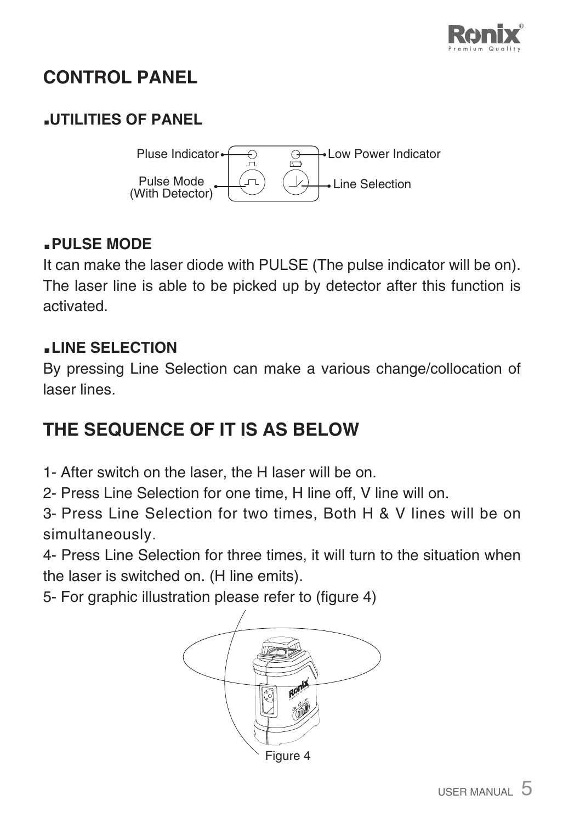

# **CONTROL PANEL**

#### **.UTILITIES OF PANEL**



#### **.PULSE MODE**

It can make the laser diode with PULSE (The pulse indicator will be on). The laser line is able to be picked up by detector after this function is activated.

#### **.LINE SELECTION**

By pressing Line Selection can make a various change/collocation of laser lines.

## **THE SEQUENCE OF IT IS AS BELOW**

- 1- After switch on the laser, the H laser will be on.
- 2- Press Line Selection for one time, H line off, V line will on.

3- Press Line Selection for two times, Both H & V lines will be on simultaneously.

4- Press Line Selection for three times, it will turn to the situation when the laser is switched on. (H line emits).

5- For graphic illustration please refer to (figure 4)

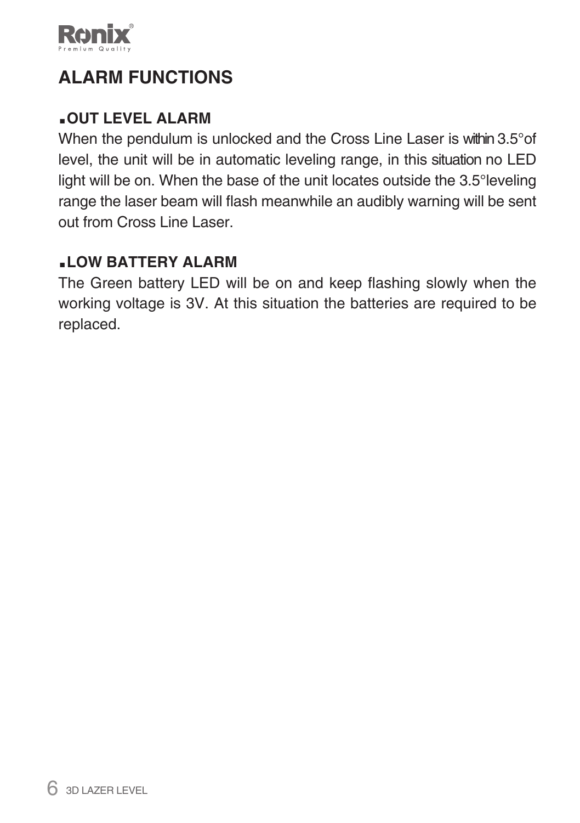

# **ALARM FUNCTIONS**

#### **.OUT LEVEL ALARM**

When the pendulum is unlocked and the Cross Line Laser is within 3.5°of level, the unit will be in automatic leveling range, in this situation no LED light will be on. When the base of the unit locates outside the 3.5°leveling range the laser beam will flash meanwhile an audibly warning will be sent out from Cross Line Laser.

#### **.LOW BATTERY ALARM**

The Green battery LED will be on and keep flashing slowly when the working voltage is 3V. At this situation the batteries are required to be replaced.